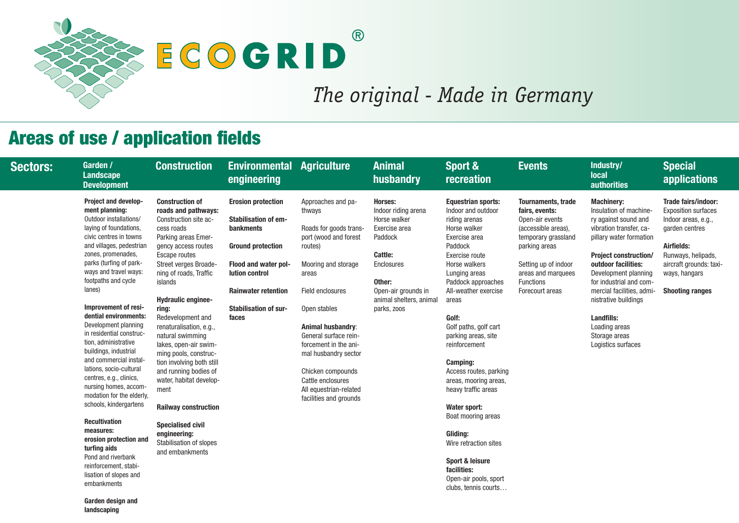

# ECOCRID

## Areas of use / application fields

#### **Industry/ local authorities**

#### **S.** trade

nts reas), assland

indoor arquees

as

### **Special applications**

**Garden design and landscaping**

| <b>Sectors:</b> | Garden /<br><b>Landscape</b><br><b>Development</b>                                                                                                                                                                                                                                                                                                                                                                                                                                                                                                                                                                                                                                                                                                              | <b>Construction</b>                                                                                                                                                                                                                                                                                                                                                                                                                                                                                                                                                                                    | <b>Environmental Agriculture</b><br>engineering                                                                                                                                                                                  |                                                                                                                                                                                                                                                                                                                                                                    | <b>Animal</b><br>husbandry                                                                                                                                                            | Sport &<br><b>recreation</b>                                                                                                                                                                                                                                                                                                                                                                                                                                                                                                                                                          | <b>Events</b>                                                                                                                                                                   |
|-----------------|-----------------------------------------------------------------------------------------------------------------------------------------------------------------------------------------------------------------------------------------------------------------------------------------------------------------------------------------------------------------------------------------------------------------------------------------------------------------------------------------------------------------------------------------------------------------------------------------------------------------------------------------------------------------------------------------------------------------------------------------------------------------|--------------------------------------------------------------------------------------------------------------------------------------------------------------------------------------------------------------------------------------------------------------------------------------------------------------------------------------------------------------------------------------------------------------------------------------------------------------------------------------------------------------------------------------------------------------------------------------------------------|----------------------------------------------------------------------------------------------------------------------------------------------------------------------------------------------------------------------------------|--------------------------------------------------------------------------------------------------------------------------------------------------------------------------------------------------------------------------------------------------------------------------------------------------------------------------------------------------------------------|---------------------------------------------------------------------------------------------------------------------------------------------------------------------------------------|---------------------------------------------------------------------------------------------------------------------------------------------------------------------------------------------------------------------------------------------------------------------------------------------------------------------------------------------------------------------------------------------------------------------------------------------------------------------------------------------------------------------------------------------------------------------------------------|---------------------------------------------------------------------------------------------------------------------------------------------------------------------------------|
|                 | <b>Project and develop-</b><br>ment planning:<br>Outdoor installations/<br>laying of foundations,<br>civic centres in towns<br>and villages, pedestrian<br>zones, promenades,<br>parks (turfing of park-<br>ways and travel ways:<br>footpaths and cycle<br>lanes)<br>Improvement of resi-<br>dential environments:<br>Development planning<br>in residential construc-<br>tion, administrative<br>buildings, industrial<br>and commercial instal-<br>lations, socio-cultural<br>centres, e.g., clinics,<br>nursing homes, accom-<br>modation for the elderly,<br>schools, kindergartens<br><b>Recultivation</b><br>measures:<br>erosion protection and<br>turfing aids<br>Pond and riverbank<br>reinforcement, stabi-<br>lisation of slopes and<br>embankments | <b>Construction of</b><br>roads and pathways:<br>Construction site ac-<br>cess roads<br>Parking areas Emer-<br>gency access routes<br><b>Escape routes</b><br>Street verges Broade-<br>ning of roads, Traffic<br>islands<br><b>Hydraulic enginee-</b><br>ring:<br>Redevelopment and<br>renaturalisation, e.g.,<br>natural swimming<br>lakes, open-air swim-<br>ming pools, construc-<br>tion involving both still<br>and running bodies of<br>water, habitat develop-<br>ment<br><b>Railway construction</b><br><b>Specialised civil</b><br>engineering:<br>Stabilisation of slopes<br>and embankments | <b>Erosion protection</b><br><b>Stabilisation of em-</b><br><b>bankments</b><br><b>Ground protection</b><br><b>Flood and water pol-</b><br>lution control<br><b>Rainwater retention</b><br><b>Stabilisation of sur-</b><br>faces | Approaches and pa-<br>thways<br>Roads for goods trans-<br>port (wood and forest<br>routes)<br>Mooring and storage<br>areas<br>Field enclosures<br>Open stables<br><b>Animal husbandry:</b><br>General surface rein-<br>forcement in the ani-<br>mal husbandry sector<br>Chicken compounds<br>Cattle enclosures<br>All equestrian-related<br>facilities and grounds | Horses:<br>Indoor riding arena<br>Horse walker<br>Exercise area<br>Paddock<br>Cattle:<br><b>Enclosures</b><br>Other:<br>Open-air grounds in<br>animal shelters, animal<br>parks, zoos | <b>Equestrian sports:</b><br>Indoor and outdoor<br>riding arenas<br>Horse walker<br>Exercise area<br>Paddock<br>Exercise route<br>Horse walkers<br>Lunging areas<br>Paddock approaches<br>All-weather exercise<br>areas<br>Golf:<br>Golf paths, golf cart<br>parking areas, site<br>reinforcement<br><b>Camping:</b><br>Access routes, parking<br>areas, mooring areas,<br>heavy traffic areas<br><b>Water sport:</b><br>Boat mooring areas<br><b>Gliding:</b><br>Wire retraction sites<br><b>Sport &amp; leisure</b><br>facilities:<br>Open-air pools, sport<br>clubs, tennis courts | <b>Tournaments</b><br>fairs, events:<br>Open-air ever<br>(accessible ar<br>temporary gra<br>parking areas<br>Setting up of<br>areas and ma<br><b>Functions</b><br>Forecourt are |

#### **Machinery:**

Insulation of machinery against sound and vibration transfer, capillary water formation

**Project construction/ outdoor facilities:** Development planning for industrial and commercial facilities, admi-**Shooting ranges** nistrative buildings

#### **Landfills:** Loading areas

Storage areas Logistics surfaces

#### **Trade fairs/indoor:**

Exposition surfaces Indoor areas, e.g., garden centres

#### **Airfields:**

Runways, helipads, aircraft grounds: taxiways, hangars

# *The original - Made in Germany*

 $\circledR$